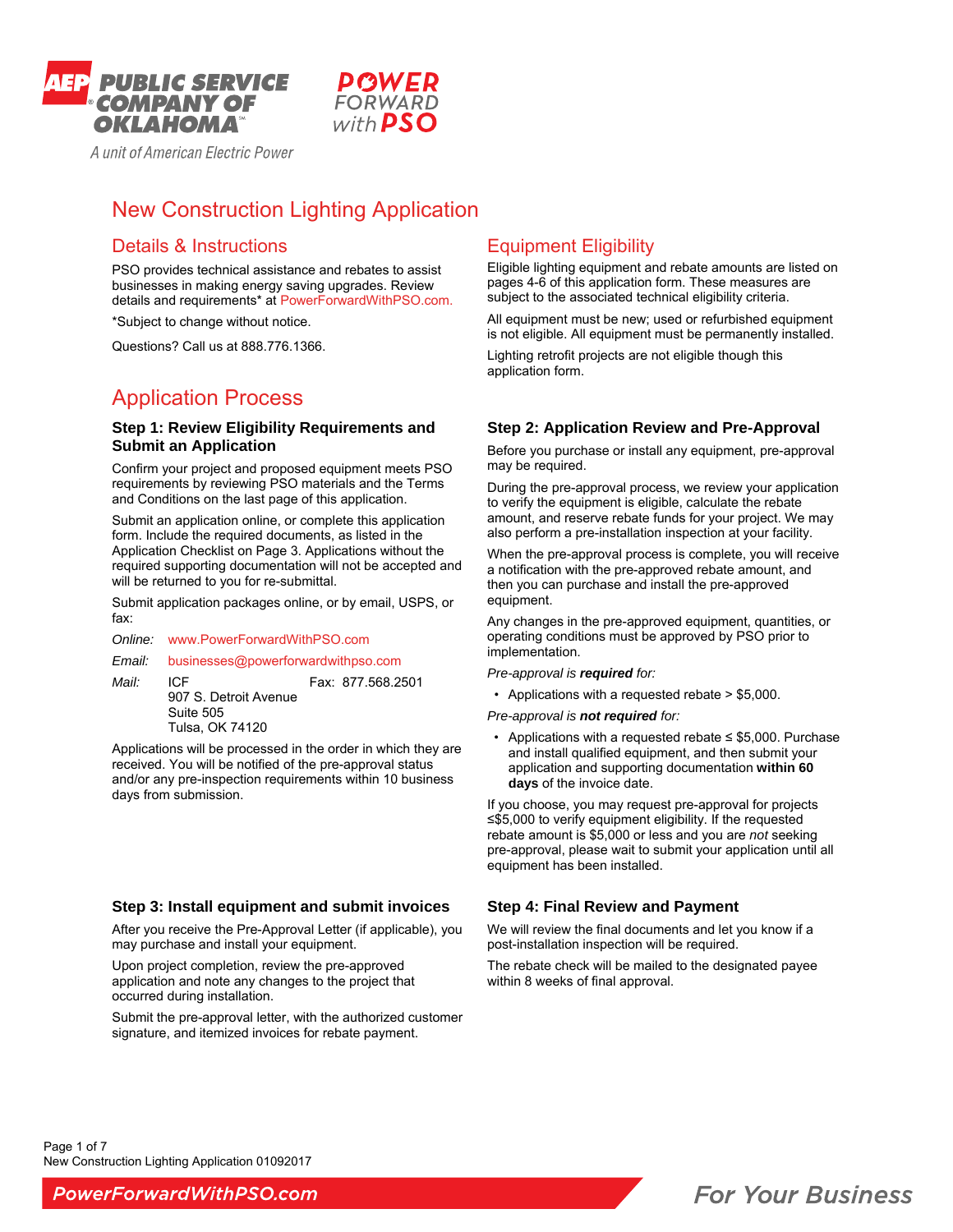

# New Construction Lighting Application

FORWARD

with **PSO** 

# Details & Instructions

PSO provides technical assistance and rebates to assist businesses in making energy saving upgrades. Review details and requirements\* at PowerForwardWithPSO.com.

\*Subject to change without notice.

Questions? Call us at 888.776.1366.

# Application Process

### **Step 1: Review Eligibility Requirements and Submit an Application**

Confirm your project and proposed equipment meets PSO requirements by reviewing PSO materials and the Terms and Conditions on the last page of this application.

Submit an application online, or complete this application form. Include the required documents, as listed in the Application Checklist on Page 3. Applications without the required supporting documentation will not be accepted and will be returned to you for re-submittal.

Submit application packages online, or by email, USPS, or fax:

*Online:* www.PowerForwardWithPSO.com

*Email:* businesses@powerforwardwithpso.com

*Mail:* ICF **Fax: 877.568.2501**  907 S. Detroit Avenue Suite 505 Tulsa, OK 74120

Applications will be processed in the order in which they are received. You will be notified of the pre-approval status and/or any pre-inspection requirements within 10 business days from submission.

### **Step 3: Install equipment and submit invoices**

After you receive the Pre-Approval Letter (if applicable), you may purchase and install your equipment.

Upon project completion, review the pre-approved application and note any changes to the project that occurred during installation.

Submit the pre-approval letter, with the authorized customer signature, and itemized invoices for rebate payment.

# Equipment Eligibility

Eligible lighting equipment and rebate amounts are listed on pages 4-6 of this application form. These measures are subject to the associated technical eligibility criteria.

All equipment must be new; used or refurbished equipment is not eligible. All equipment must be permanently installed.

Lighting retrofit projects are not eligible though this application form.

### **Step 2: Application Review and Pre-Approval**

Before you purchase or install any equipment, pre-approval may be required.

During the pre-approval process, we review your application to verify the equipment is eligible, calculate the rebate amount, and reserve rebate funds for your project. We may also perform a pre-installation inspection at your facility.

When the pre-approval process is complete, you will receive a notification with the pre-approved rebate amount, and then you can purchase and install the pre-approved equipment.

Any changes in the pre-approved equipment, quantities, or operating conditions must be approved by PSO prior to implementation.

*Pre-approval is required for:* 

- Applications with a requested rebate > \$5,000.
- *Pre-approval is not required for:*
- Applications with a requested rebate  $\leq$  \$5,000. Purchase and install qualified equipment, and then submit your application and supporting documentation **within 60 days** of the invoice date.

If you choose, you may request pre-approval for projects ≤\$5,000 to verify equipment eligibility. If the requested rebate amount is \$5,000 or less and you are *not* seeking pre-approval, please wait to submit your application until all equipment has been installed.

### **Step 4: Final Review and Payment**

We will review the final documents and let you know if a post-installation inspection will be required.

The rebate check will be mailed to the designated payee within 8 weeks of final approval.

 New Construction Lighting Application 01092017 Page 1 of 7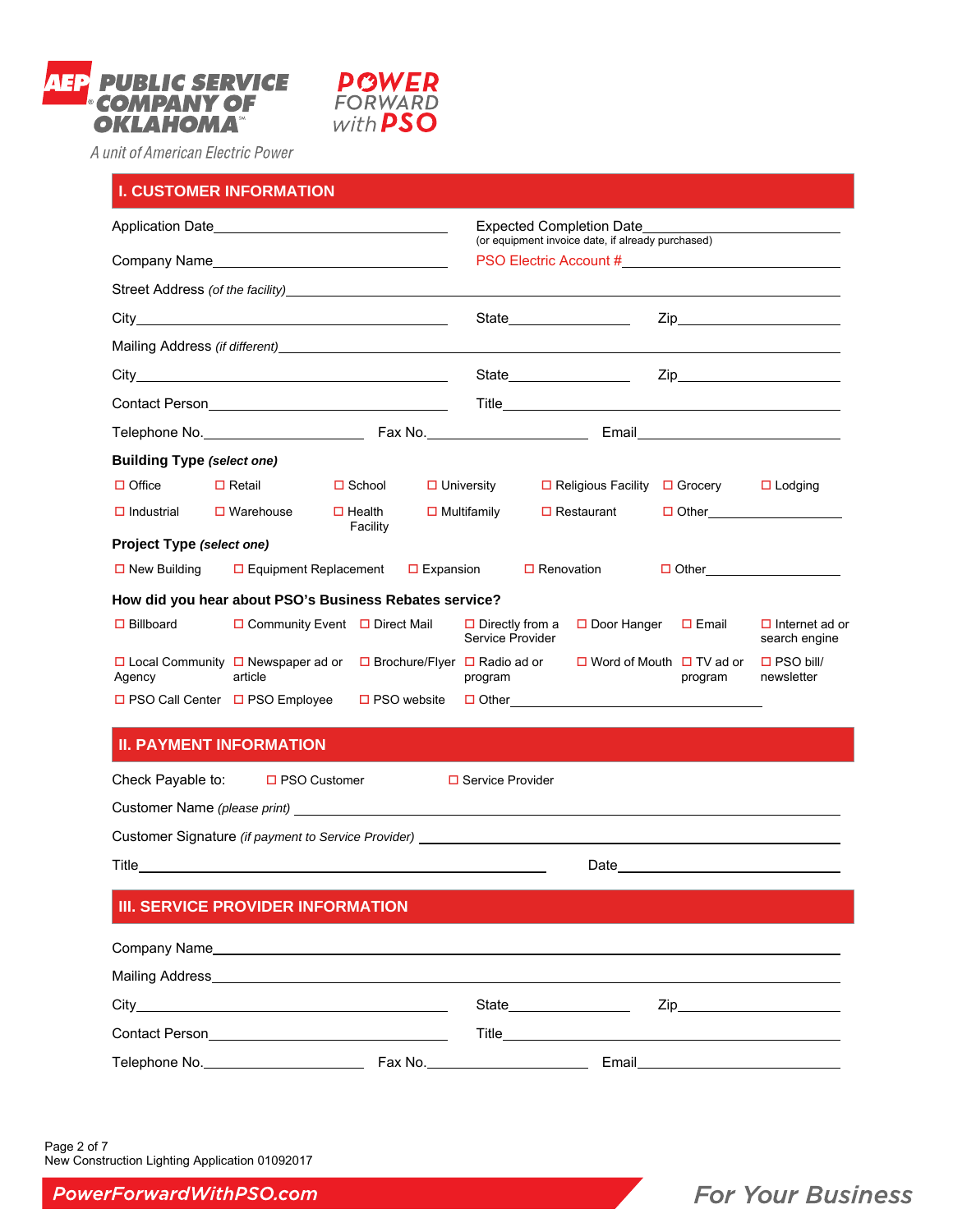



|                                                                                                             | <b>I. CUSTOMER INFORMATION</b>                                                   |                           |                    |                                            |                                                                                                    |                                                 |                                     |                                        |  |
|-------------------------------------------------------------------------------------------------------------|----------------------------------------------------------------------------------|---------------------------|--------------------|--------------------------------------------|----------------------------------------------------------------------------------------------------|-------------------------------------------------|-------------------------------------|----------------------------------------|--|
|                                                                                                             |                                                                                  |                           |                    |                                            | Expected Completion Date                                                                           |                                                 |                                     |                                        |  |
|                                                                                                             |                                                                                  |                           |                    |                                            | (or equipment invoice date, if already purchased)<br>PSO Electric Account # PSO Electric Account # |                                                 |                                     |                                        |  |
|                                                                                                             |                                                                                  |                           |                    |                                            |                                                                                                    |                                                 |                                     |                                        |  |
|                                                                                                             |                                                                                  |                           |                    |                                            |                                                                                                    |                                                 |                                     |                                        |  |
|                                                                                                             |                                                                                  |                           |                    |                                            |                                                                                                    |                                                 |                                     |                                        |  |
|                                                                                                             |                                                                                  |                           |                    |                                            |                                                                                                    |                                                 | $\mathsf{Zip}$                      |                                        |  |
|                                                                                                             |                                                                                  |                           |                    |                                            |                                                                                                    |                                                 |                                     |                                        |  |
|                                                                                                             |                                                                                  |                           |                    |                                            |                                                                                                    |                                                 |                                     |                                        |  |
| <b>Building Type (select one)</b>                                                                           |                                                                                  |                           |                    |                                            |                                                                                                    |                                                 |                                     |                                        |  |
| $\Box$ Office                                                                                               | $\Box$ Retail                                                                    | $\Box$ School             |                    | $\Box$ University                          |                                                                                                    | $\Box$ Religious Facility                       | $\Box$ Grocery                      | $\Box$ Lodging                         |  |
| $\Box$ Industrial                                                                                           | $\Box$ Warehouse                                                                 | $\Box$ Health<br>Facility | $\Box$ Multifamily |                                            | $\Box$ Restaurant                                                                                  |                                                 |                                     |                                        |  |
| Project Type (select one)                                                                                   |                                                                                  |                           |                    |                                            |                                                                                                    |                                                 |                                     |                                        |  |
| $\Box$ New Building                                                                                         | $\Box$ Equipment Replacement                                                     |                           | $\Box$ Expansion   |                                            | $\Box$ Renovation                                                                                  |                                                 | $\Box$ Other $\Box$                 |                                        |  |
|                                                                                                             | How did you hear about PSO's Business Rebates service?                           |                           |                    |                                            |                                                                                                    |                                                 |                                     |                                        |  |
| $\Box$ Billboard                                                                                            | $\Box$ Community Event $\Box$ Direct Mail                                        |                           |                    | $\Box$ Directly from a<br>Service Provider |                                                                                                    | □ Door Hanger □ Email                           |                                     | $\Box$ Internet ad or<br>search engine |  |
| $\Box$ Local Community $\Box$ Newspaper ad or $\Box$ Brochure/Flyer $\Box$ Radio ad or<br>article<br>Agency |                                                                                  |                           | program            |                                            |                                                                                                    | $\Box$ Word of Mouth $\Box$ TV ad or<br>program | $\square$ PSO bill/<br>newsletter   |                                        |  |
|                                                                                                             | $\Box$ PSO Call Center $\Box$ PSO Employee                                       |                           | $\Box$ PSO website |                                            |                                                                                                    |                                                 |                                     |                                        |  |
|                                                                                                             | <b>II. PAYMENT INFORMATION</b>                                                   |                           |                    |                                            |                                                                                                    |                                                 |                                     |                                        |  |
| Check Payable to:<br>$\Box$ PSO Customer<br>$\Box$ Service Provider                                         |                                                                                  |                           |                    |                                            |                                                                                                    |                                                 |                                     |                                        |  |
|                                                                                                             |                                                                                  |                           |                    |                                            |                                                                                                    |                                                 |                                     |                                        |  |
|                                                                                                             | Customer Signature (if payment to Service Provider) ____________________________ |                           |                    |                                            |                                                                                                    |                                                 |                                     |                                        |  |
|                                                                                                             |                                                                                  |                           |                    |                                            |                                                                                                    |                                                 |                                     |                                        |  |
|                                                                                                             | <b>III. SERVICE PROVIDER INFORMATION</b>                                         |                           |                    |                                            |                                                                                                    |                                                 |                                     |                                        |  |
|                                                                                                             | Company Name                                                                     |                           |                    |                                            |                                                                                                    |                                                 |                                     |                                        |  |
|                                                                                                             |                                                                                  |                           |                    |                                            |                                                                                                    |                                                 |                                     |                                        |  |
|                                                                                                             |                                                                                  |                           |                    |                                            |                                                                                                    |                                                 |                                     |                                        |  |
|                                                                                                             | Contact Person<br><u>Contact Person</u>                                          |                           |                    |                                            |                                                                                                    |                                                 |                                     |                                        |  |
|                                                                                                             |                                                                                  |                           |                    |                                            |                                                                                                    |                                                 | Email <u>______________________</u> |                                        |  |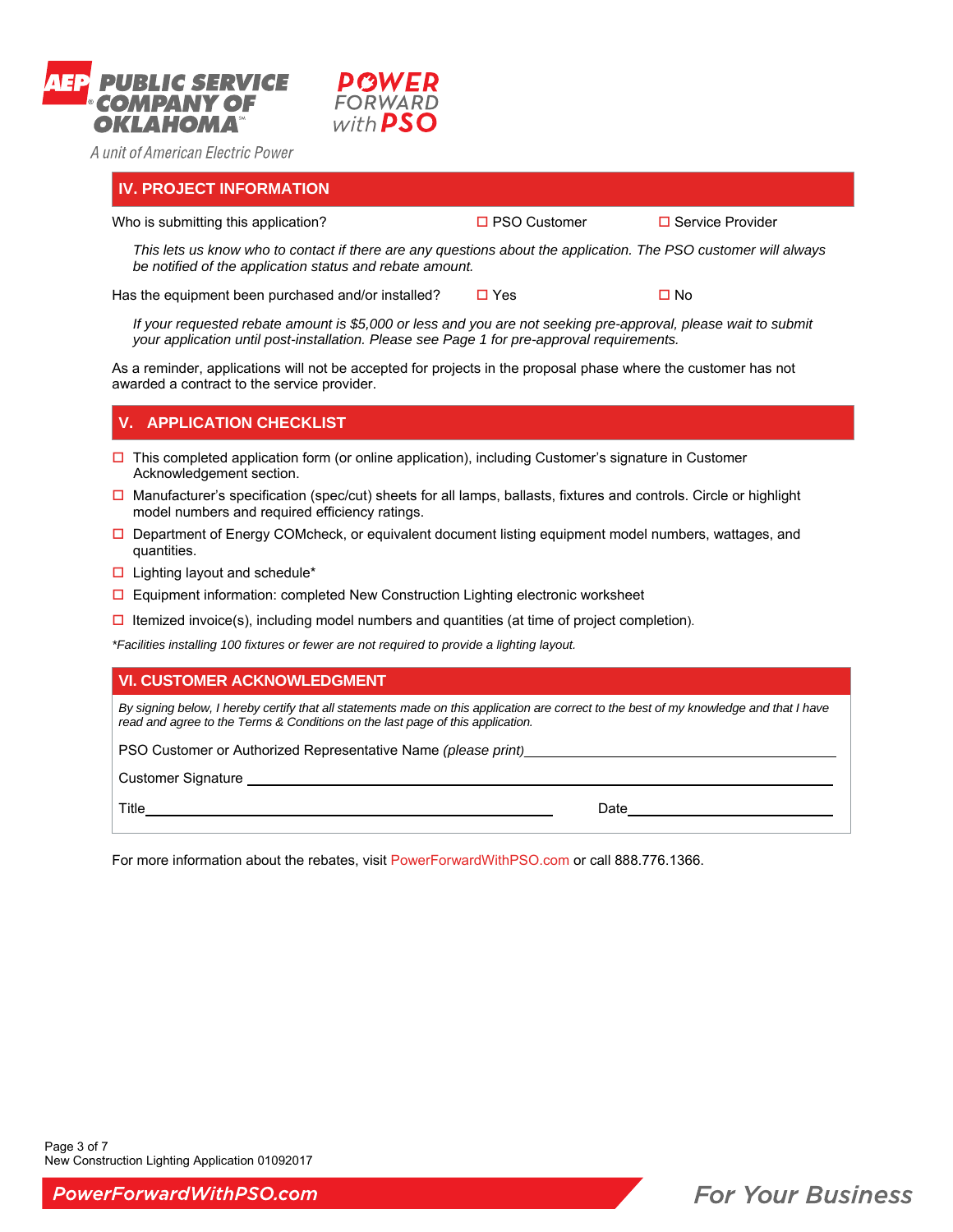



### **IV. PROJECT INFORMATION**

Who is submitting this application?  $\Box$  PSO Customer  $\Box$  Service Provider

*This lets us know who to contact if there are any questions about the application. The PSO customer will always be notified of the application status and rebate amount.* 

Has the equipment been purchased and/or installed?  $\Box$  Yes  $\Box$  No

*If your requested rebate amount is \$5,000 or less and you are not seeking pre-approval, please wait to submit your application until post-installation. Please see Page 1 for pre-approval requirements.* 

As a reminder, applications will not be accepted for projects in the proposal phase where the customer has not awarded a contract to the service provider.

# **V. APPLICATION CHECKLIST**

- $\Box$  This completed application form (or online application), including Customer's signature in Customer Acknowledgement section.
- $\square$  Manufacturer's specification (spec/cut) sheets for all lamps, ballasts, fixtures and controls. Circle or highlight model numbers and required efficiency ratings.
- $\Box$  Department of Energy COMcheck, or equivalent document listing equipment model numbers, wattages, and quantities.
- $\square$  Lighting layout and schedule\*
- $\Box$  Equipment information: completed New Construction Lighting electronic worksheet
- $\Box$  Itemized invoice(s), including model numbers and quantities (at time of project completion).

*\*Facilities installing 100 fixtures or fewer are not required to provide a lighting layout.* 

### **VI. CUSTOMER ACKNOWLEDGMENT**

*By signing below, I hereby certify that all statements made on this application are correct to the best of my knowledge and that I have read and agree to the Terms & Conditions on the last page of this application.*

PSO Customer or Authorized Representative Name *(please print)\_\_\_\_* 

Customer Signature \_\_\_\_\_\_\_\_\_\_\_\_\_\_

Title Date

For more information about the rebates, visit PowerForwardWithPSO.com or call 888.776.1366.

**For Your Business**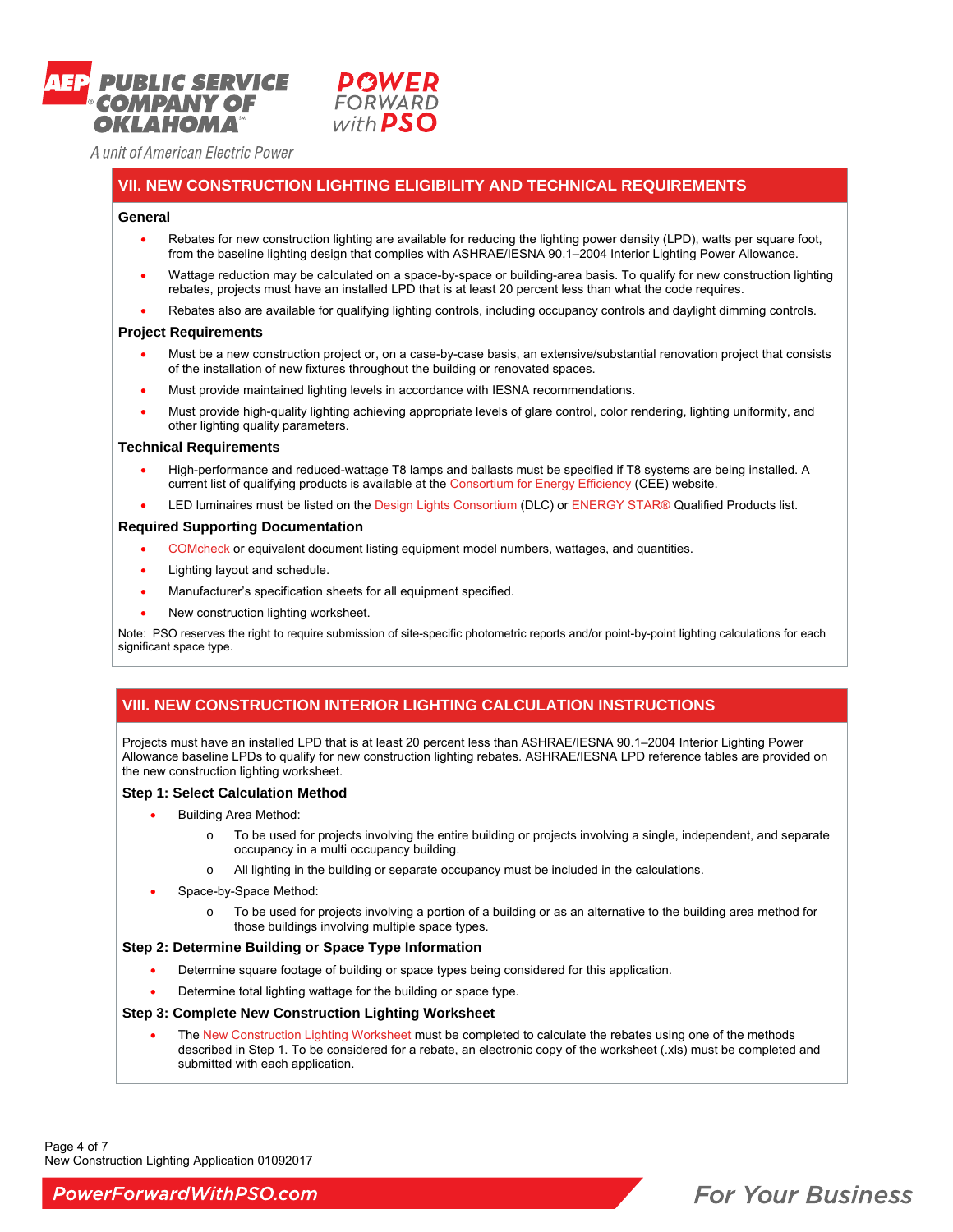



### **VII. NEW CONSTRUCTION LIGHTING ELIGIBILITY AND TECHNICAL REQUIREMENTS**

#### **General**

- Rebates for new construction lighting are available for reducing the lighting power density (LPD), watts per square foot, from the baseline lighting design that complies with ASHRAE/IESNA 90.1–2004 Interior Lighting Power Allowance.
- Wattage reduction may be calculated on a space-by-space or building-area basis. To qualify for new construction lighting rebates, projects must have an installed LPD that is at least 20 percent less than what the code requires.
- Rebates also are available for qualifying lighting controls, including occupancy controls and daylight dimming controls.

#### **Project Requirements**

- Must be a new construction project or, on a case-by-case basis, an extensive/substantial renovation project that consists of the installation of new fixtures throughout the building or renovated spaces.
- Must provide maintained lighting levels in accordance with IESNA recommendations.
- Must provide high-quality lighting achieving appropriate levels of glare control, color rendering, lighting uniformity, and other lighting quality parameters.

#### **Technical Requirements**

- High-performance and reduced-wattage T8 lamps and ballasts must be specified if T8 systems are being installed. A current list of qualifying products is available at the Consortium for Energy Efficiency (CEE) website.
- LED luminaires must be listed on the Design Lights Consortium (DLC) or ENERGY STAR® Qualified Products list.

#### **Required Supporting Documentation**

- COMcheck or equivalent document listing equipment model numbers, wattages, and quantities.
- Lighting layout and schedule.
- Manufacturer's specification sheets for all equipment specified.
- New construction lighting worksheet.

Note: PSO reserves the right to require submission of site-specific photometric reports and/or point-by-point lighting calculations for each significant space type.

### **VIII. NEW CONSTRUCTION INTERIOR LIGHTING CALCULATION INSTRUCTIONS**

Projects must have an installed LPD that is at least 20 percent less than ASHRAE/IESNA 90.1–2004 Interior Lighting Power Allowance baseline LPDs to qualify for new construction lighting rebates. ASHRAE/IESNA LPD reference tables are provided on the new construction lighting worksheet.

#### **Step 1: Select Calculation Method**

- Building Area Method:
	- o To be used for projects involving the entire building or projects involving a single, independent, and separate occupancy in a multi occupancy building.
	- o All lighting in the building or separate occupancy must be included in the calculations.
	- Space-by-Space Method:
		- o To be used for projects involving a portion of a building or as an alternative to the building area method for those buildings involving multiple space types.

### **Step 2: Determine Building or Space Type Information**

- Determine square footage of building or space types being considered for this application.
- Determine total lighting wattage for the building or space type.

#### **Step 3: Complete New Construction Lighting Worksheet**

 The New Construction Lighting Worksheet must be completed to calculate the rebates using one of the methods described in Step 1. To be considered for a rebate, an electronic copy of the worksheet (.xls) must be completed and submitted with each application.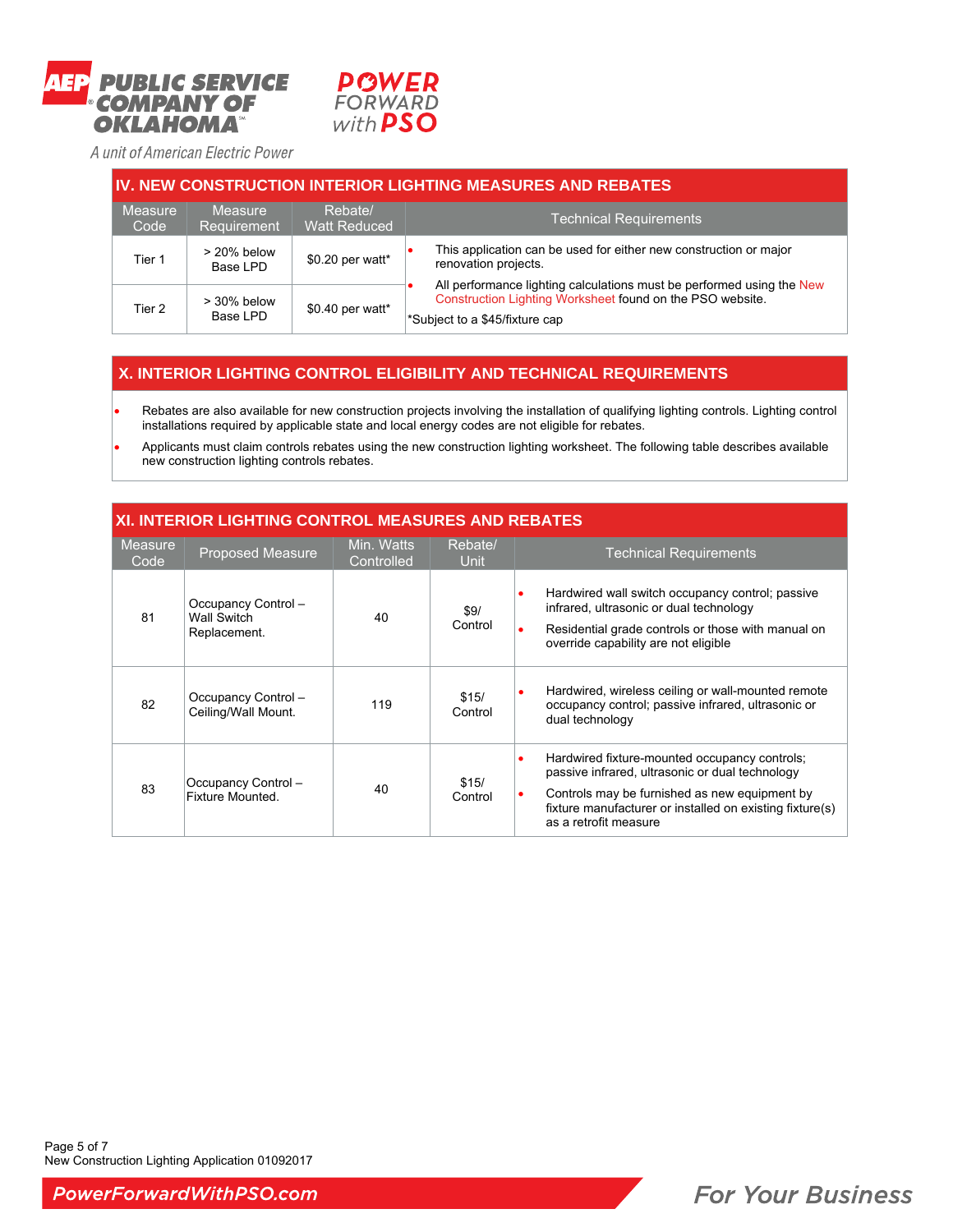



| <b>IV. NEW CONSTRUCTION INTERIOR LIGHTING MEASURES AND REBATES</b> |                            |                                |                                                                                                                                                                      |  |  |  |  |  |
|--------------------------------------------------------------------|----------------------------|--------------------------------|----------------------------------------------------------------------------------------------------------------------------------------------------------------------|--|--|--|--|--|
| Measure<br>Code                                                    | Measure<br>Requirement     | Rebate/<br><b>Watt Reduced</b> | <b>Technical Requirements</b>                                                                                                                                        |  |  |  |  |  |
| Tier 1                                                             | $> 20\%$ below<br>Base LPD | \$0.20 per watt*               | This application can be used for either new construction or major<br>renovation projects.                                                                            |  |  |  |  |  |
| Tier 2                                                             | $>$ 30% below<br>Base LPD  | \$0.40 per watt*               | All performance lighting calculations must be performed using the New<br>Construction Lighting Worksheet found on the PSO website.<br>*Subject to a \$45/fixture cap |  |  |  |  |  |

# **X. INTERIOR LIGHTING CONTROL ELIGIBILITY AND TECHNICAL REQUIREMENTS**

 Rebates are also available for new construction projects involving the installation of qualifying lighting controls. Lighting control installations required by applicable state and local energy codes are not eligible for rebates.

 Applicants must claim controls rebates using the new construction lighting worksheet. The following table describes available new construction lighting controls rebates.

## **XI. INTERIOR LIGHTING CONTROL MEASURES AND REBATES**

| Measure<br>Code | Proposed Measure                                          | Min. Watts<br>Controlled | Rebate/<br>Unit  | <b>Technical Requirements</b>                                                                                                                                                                                                                                    |
|-----------------|-----------------------------------------------------------|--------------------------|------------------|------------------------------------------------------------------------------------------------------------------------------------------------------------------------------------------------------------------------------------------------------------------|
| 81              | Occupancy Control -<br><b>Wall Switch</b><br>Replacement. | 40                       | \$9/<br>Control  | Hardwired wall switch occupancy control; passive<br>$\bullet$<br>infrared, ultrasonic or dual technology<br>Residential grade controls or those with manual on<br>$\bullet$<br>override capability are not eligible                                              |
| 82              | Occupancy Control -<br>Ceiling/Wall Mount.                | 119                      | \$15/<br>Control | Hardwired, wireless ceiling or wall-mounted remote<br>$\bullet$<br>occupancy control; passive infrared, ultrasonic or<br>dual technology                                                                                                                         |
| 83              | Occupancy Control-<br>Fixture Mounted.                    | 40                       | \$15/<br>Control | Hardwired fixture-mounted occupancy controls;<br>$\bullet$<br>passive infrared, ultrasonic or dual technology<br>Controls may be furnished as new equipment by<br>$\bullet$<br>fixture manufacturer or installed on existing fixture(s)<br>as a retrofit measure |

Page 5 of 7 New Construction Lighting Application 01092017

PowerForwardWithPSO.com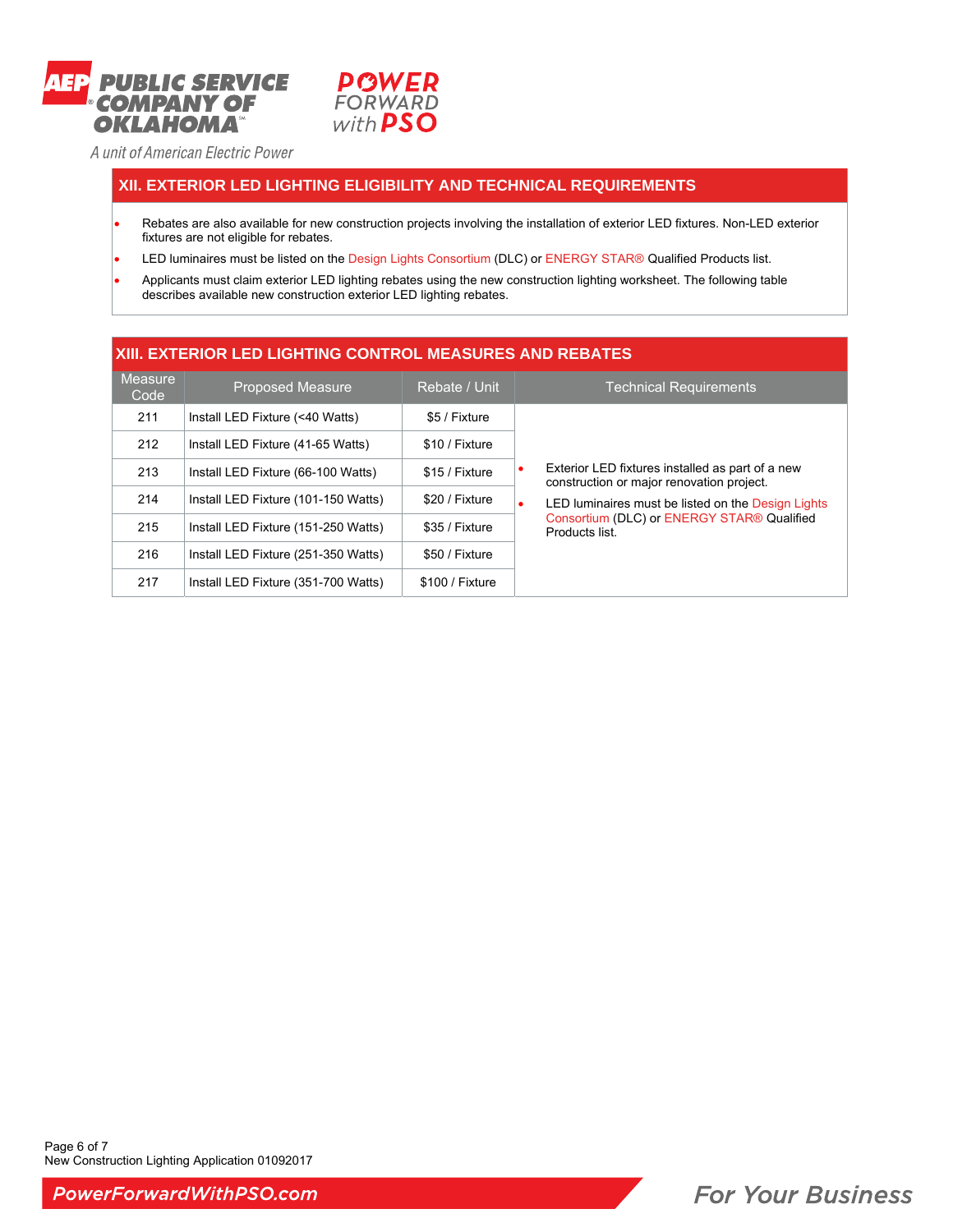



## **XII. EXTERIOR LED LIGHTING ELIGIBILITY AND TECHNICAL REQUIREMENTS**

- Rebates are also available for new construction projects involving the installation of exterior LED fixtures. Non-LED exterior fixtures are not eligible for rebates.
- LED luminaires must be listed on the Design Lights Consortium (DLC) or ENERGY STAR® Qualified Products list.
- Applicants must claim exterior LED lighting rebates using the new construction lighting worksheet. The following table describes available new construction exterior LED lighting rebates.

### **XIII. EXTERIOR LED LIGHTING CONTROL MEASURES AND REBATES Measure** deasure Proposed Measure Rebate / Unit Technical Requirements<br>Code 211 | Install LED Fixture (<40 Watts) | \$5 / Fixture Exterior LED fixtures installed as part of a new construction or major renovation project. LED luminaires must be listed on the Design Lights Consortium (DLC) or ENERGY STAR® Qualified Products list. 212 | Install LED Fixture (41-65 Watts) | \$10 / Fixture 213 | Install LED Fixture (66-100 Watts) | \$15 / Fixture 214 | Install LED Fixture (101-150 Watts) | \$20 / Fixture 215 | Install LED Fixture (151-250 Watts) | \$35 / Fixture 216 | Install LED Fixture (251-350 Watts) | \$50 / Fixture 217 | Install LED Fixture (351-700 Watts) | \$100 / Fixture

Page 6 of 7 New Construction Lighting Application 01092017